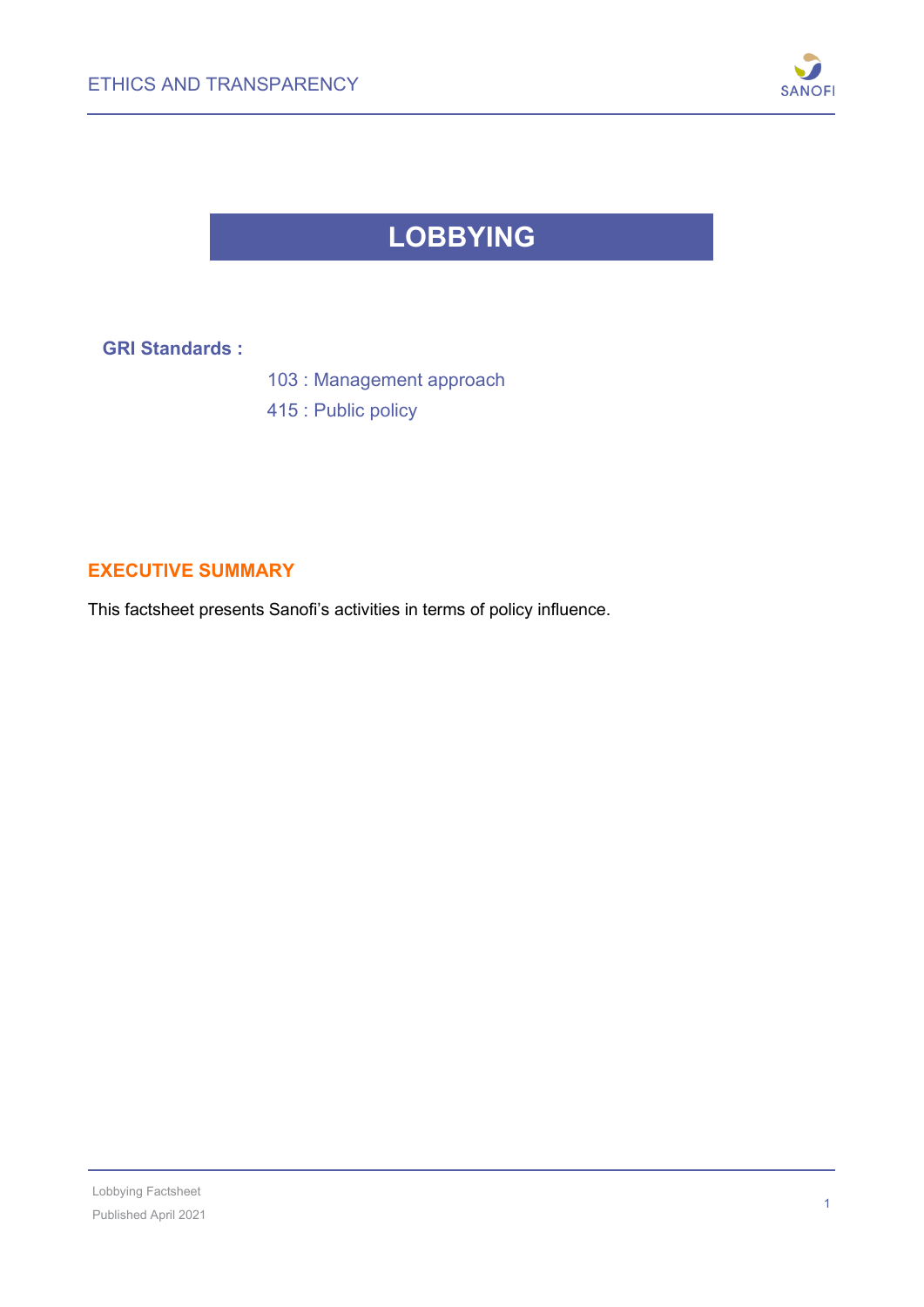

## **LOBBYING**

**GRI Standards :**

103 : Management approach

415 : Public policy

## **EXECUTIVE SUMMARY**

This factsheet presents Sanofi's activities in terms of policy influence.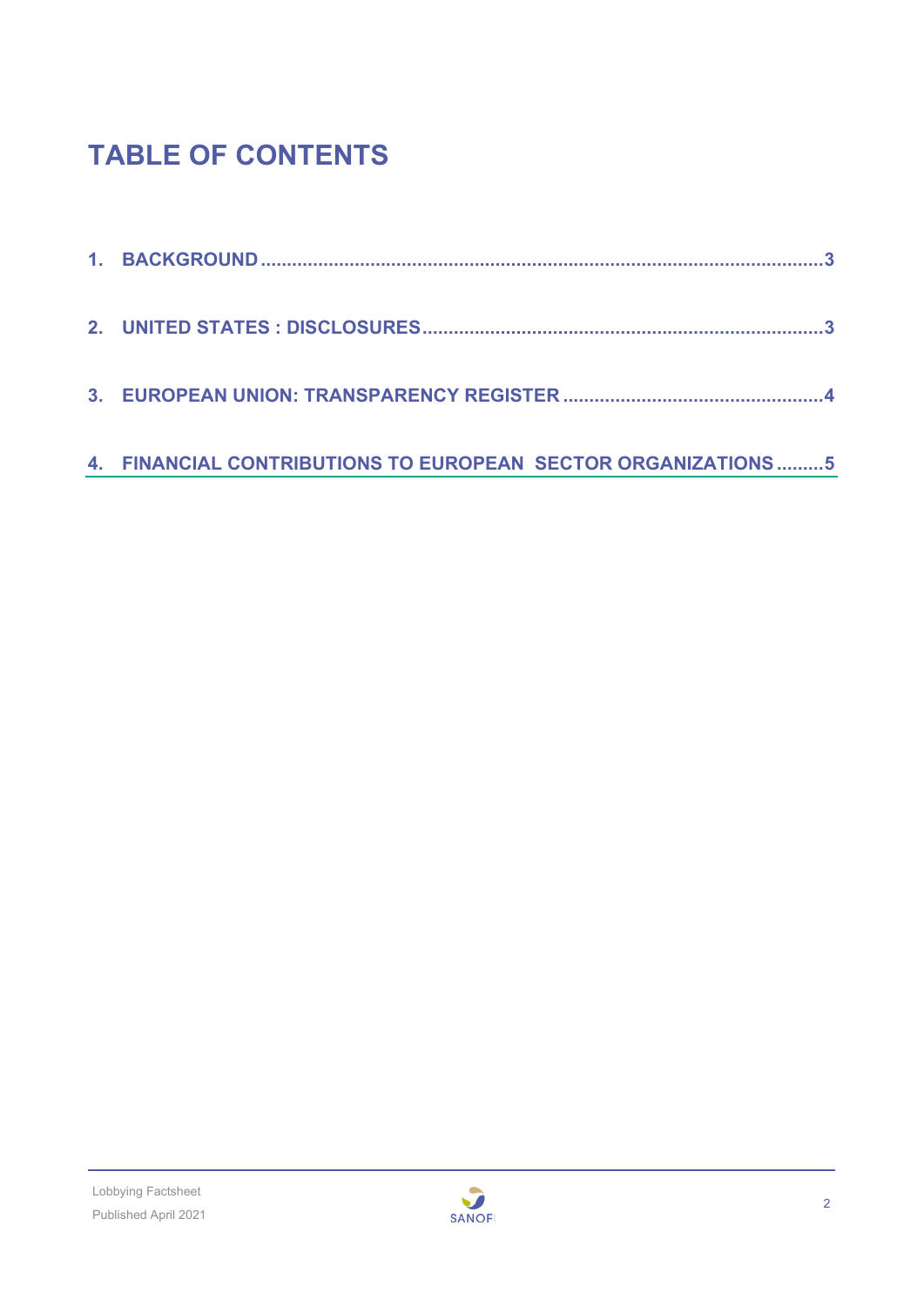# **TABLE OF CONTENTS**

| 4. FINANCIAL CONTRIBUTIONS TO EUROPEAN SECTOR ORGANIZATIONS  5 |
|----------------------------------------------------------------|

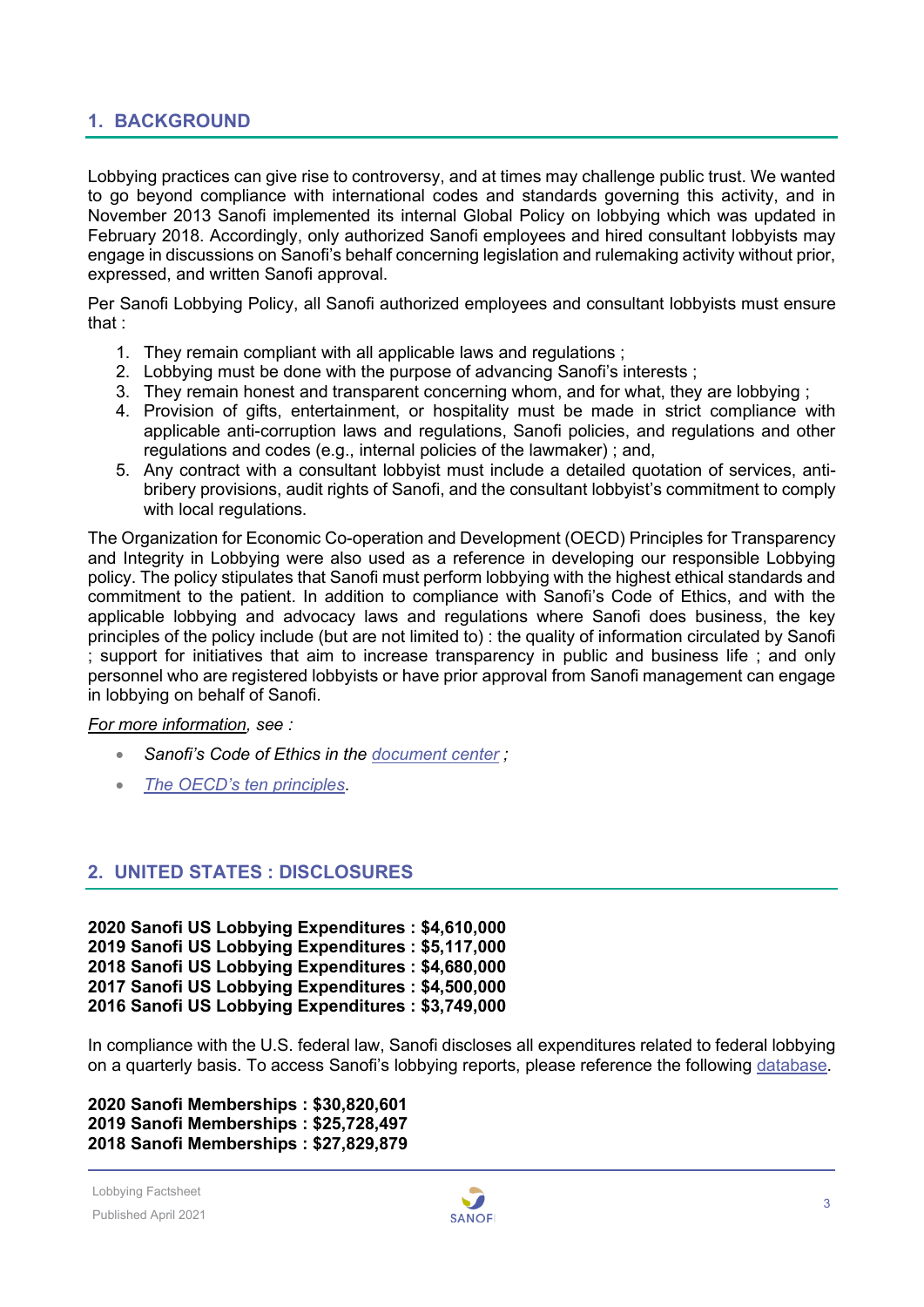## <span id="page-2-0"></span>**1. BACKGROUND**

Lobbying practices can give rise to controversy, and at times may challenge public trust. We wanted to go beyond compliance with international codes and standards governing this activity, and in November 2013 Sanofi implemented its internal Global Policy on lobbying which was updated in February 2018. Accordingly, only authorized Sanofi employees and hired consultant lobbyists may engage in discussions on Sanofi's behalf concerning legislation and rulemaking activity without prior, expressed, and written Sanofi approval.

Per Sanofi Lobbying Policy, all Sanofi authorized employees and consultant lobbyists must ensure that :

- 1. They remain compliant with all applicable laws and regulations ;
- 2. Lobbying must be done with the purpose of advancing Sanofi's interests ;
- 3. They remain honest and transparent concerning whom, and for what, they are lobbying ;
- 4. Provision of gifts, entertainment, or hospitality must be made in strict compliance with applicable anti-corruption laws and regulations, Sanofi policies, and regulations and other regulations and codes (e.g., internal policies of the lawmaker) ; and,
- 5. Any contract with a consultant lobbyist must include a detailed quotation of services, antibribery provisions, audit rights of Sanofi, and the consultant lobbyist's commitment to comply with local regulations.

The Organization for Economic Co-operation and Development (OECD) Principles for Transparency and Integrity in Lobbying were also used as a reference in developing our responsible Lobbying policy. The policy stipulates that Sanofi must perform lobbying with the highest ethical standards and commitment to the patient. In addition to compliance with Sanofi's Code of Ethics, and with the applicable lobbying and advocacy laws and regulations where Sanofi does business, the key principles of the policy include (but are not limited to) : the quality of information circulated by Sanofi ; support for initiatives that aim to increase transparency in public and business life ; and only personnel who are registered lobbyists or have prior approval from Sanofi management can engage in lobbying on behalf of Sanofi.

#### *For more information, see :*

- *Sanofi's Code of Ethics in the [document center](https://www.sanofi.com/en/our-responsibility/documents-center) ;*
- *[The OECD's ten principles](http://www.oecd.org/gov/ethics/oecdprinciplesfortransparencyandintegrityinlobbying.htm)*.

#### <span id="page-2-1"></span>**2. UNITED STATES : DISCLOSURES**

**2020 Sanofi US Lobbying Expenditures : \$4,610,000 2019 Sanofi US Lobbying Expenditures : \$5,117,000 2018 Sanofi US Lobbying Expenditures : \$4,680,000 2017 Sanofi US Lobbying Expenditures : \$4,500,000 2016 Sanofi US Lobbying Expenditures : \$3,749,000**

In compliance with the U.S. federal law, Sanofi discloses all expenditures related to federal lobbying on a quarterly basis. To access Sanofi's lobbying reports, please reference the following [database.](https://disclosurespreview.house.gov/?index=%22lobbying-disclosures%22&size=10&sort=%5b%7b%22_score%22:true%7d,%7b%22field%22:%22registrant.name%22,%22order%22:%22asc%22%7d%5d)

**2020 Sanofi Memberships : \$30,820,601 2019 Sanofi Memberships : \$25,728,497 2018 Sanofi Memberships : \$27,829,879**

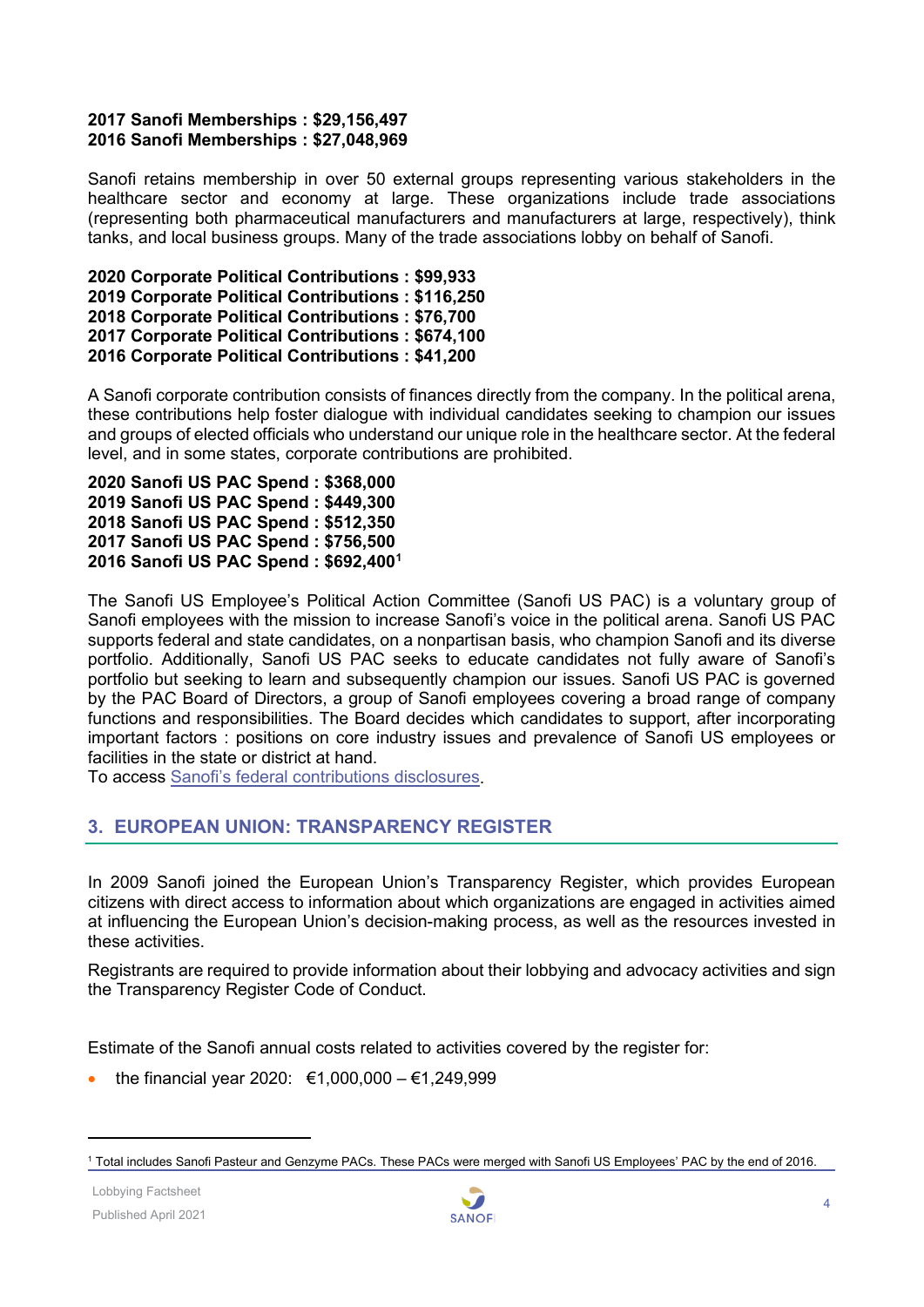#### **2017 Sanofi Memberships : \$29,156,497 2016 Sanofi Memberships : \$27,048,969**

Sanofi retains membership in over 50 external groups representing various stakeholders in the healthcare sector and economy at large. These organizations include trade associations (representing both pharmaceutical manufacturers and manufacturers at large, respectively), think tanks, and local business groups. Many of the trade associations lobby on behalf of Sanofi.

**2020 Corporate Political Contributions : \$99,933 2019 Corporate Political Contributions : \$116,250 2018 Corporate Political Contributions : \$76,700 2017 Corporate Political Contributions : \$674,100 2016 Corporate Political Contributions : \$41,200**

A Sanofi corporate contribution consists of finances directly from the company. In the political arena, these contributions help foster dialogue with individual candidates seeking to champion our issues and groups of elected officials who understand our unique role in the healthcare sector. At the federal level, and in some states, corporate contributions are prohibited.

**2020 Sanofi US PAC Spend : \$368,000 2019 Sanofi US PAC Spend : \$449,300 2018 Sanofi US PAC Spend : \$512,350 2017 Sanofi US PAC Spend : \$756,500 2016 Sanofi US PAC Spend : \$692,400[1](#page-3-1)**

The Sanofi US Employee's Political Action Committee (Sanofi US PAC) is a voluntary group of Sanofi employees with the mission to increase Sanofi's voice in the political arena. Sanofi US PAC supports federal and state candidates, on a nonpartisan basis, who champion Sanofi and its diverse portfolio. Additionally, Sanofi US PAC seeks to educate candidates not fully aware of Sanofi's portfolio but seeking to learn and subsequently champion our issues. Sanofi US PAC is governed by the PAC Board of Directors, a group of Sanofi employees covering a broad range of company functions and responsibilities. The Board decides which candidates to support, after incorporating important factors : positions on core industry issues and prevalence of Sanofi US employees or facilities in the state or district at hand.

To access [Sanofi's federal contributions disclosures.](https://disclosurespreview.house.gov/?index=%22lobbying-contributions%22&size=10&matches=%5b%7b%22query%22:%22Sanofi%22,%22fields%22:%5b%22pacs.name%22%5d%7d%5d&filters=%7b%22reportYear%22:%5b%222019%22%5d%7d&sort=%5b%7b%22_score%22:true%7d,%7b%22field%22:%22organizationName%22,%22order%22:%22asc%22%7d%5d)

## <span id="page-3-0"></span>**3. EUROPEAN UNION: TRANSPARENCY REGISTER**

In 2009 Sanofi joined the European Union's Transparency Register, which provides European citizens with direct access to information about which organizations are engaged in activities aimed at influencing the European Union's decision-making process, as well as the resources invested in these activities.

Registrants are required to provide information about their lobbying and advocacy activities and sign the Transparency Register Code of Conduct.

Estimate of the Sanofi annual costs related to activities covered by the register for:

the financial year 2020: €1,000,000 – €1,249,999



<span id="page-3-1"></span><sup>1</sup> Total includes Sanofi Pasteur and Genzyme PACs. These PACs were merged with Sanofi US Employees' PAC by the end of 2016.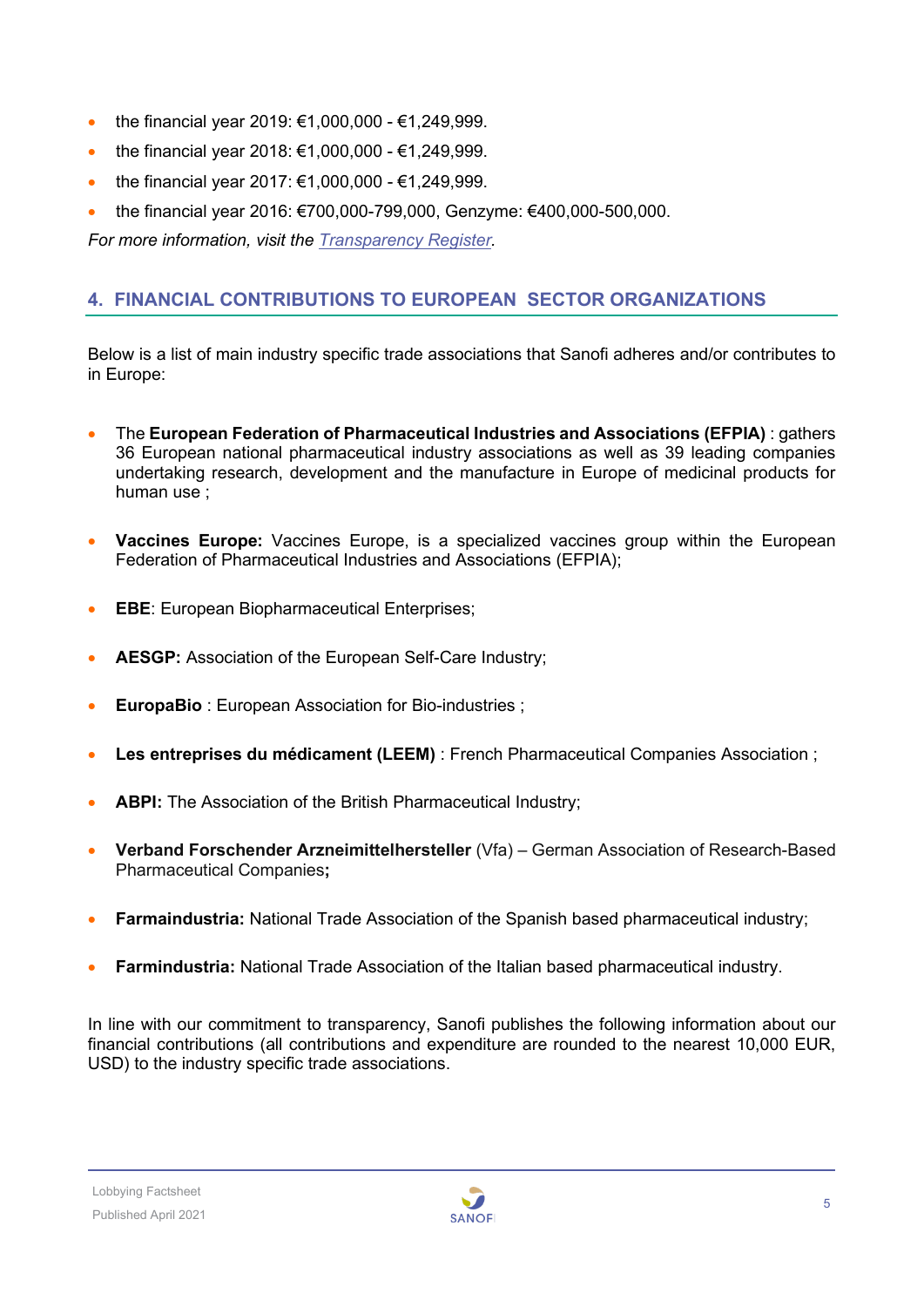- the financial year 2019:  $€1,000,000$   $€1,249,999$ .
- the financial year 2018: €1,000,000 €1,249,999.
- the financial year 2017:  $€1,000,000 €1,249,999$ .
- the financial year 2016: €700,000-799,000, Genzyme: €400,000-500,000.

*For more information, visit the [Transparency Register.](http://europa.eu/transparency-register/index_en.htm)*

## <span id="page-4-0"></span>**4. FINANCIAL CONTRIBUTIONS TO EUROPEAN SECTOR ORGANIZATIONS**

Below is a list of main industry specific trade associations that Sanofi adheres and/or contributes to in Europe:

- The **European Federation of Pharmaceutical Industries and Associations (EFPIA)** : gathers 36 European national pharmaceutical industry associations as well as 39 leading companies undertaking research, development and the manufacture in Europe of medicinal products for human use ;
- **Vaccines Europe:** Vaccines Europe, is a specialized vaccines group within the European Federation of Pharmaceutical Industries and Associations (EFPIA);
- **EBE**: European Biopharmaceutical Enterprises;
- **AESGP:** Association of the European Self-Care Industry;
- **EuropaBio**: European Association for Bio-industries :
- **Les entreprises du médicament (LEEM)** : French Pharmaceutical Companies Association ;
- **ABPI:** The Association of the British Pharmaceutical Industry;
- **Verband Forschender Arzneimittelhersteller** (Vfa) German Association of Research-Based Pharmaceutical Companies**;**
- **Farmaindustria:** National Trade Association of the Spanish based pharmaceutical industry;
- **Farmindustria:** National Trade Association of the Italian based pharmaceutical industry.

In line with our commitment to transparency, Sanofi publishes the following information about our financial contributions (all contributions and expenditure are rounded to the nearest 10,000 EUR, USD) to the industry specific trade associations.